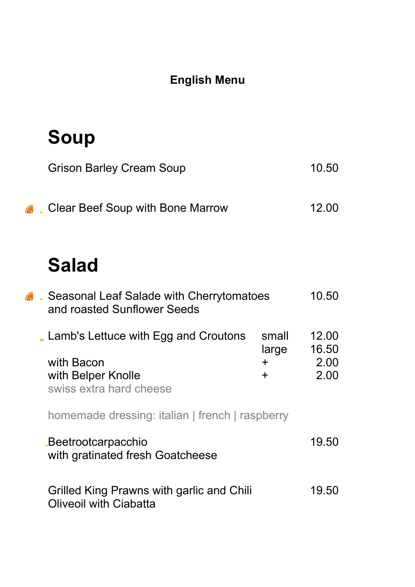#### English Menu

### Soup

| <b>Grison Barley Cream Soup</b>           | 10.50 |
|-------------------------------------------|-------|
| <b>C</b> Clear Beef Soup with Bone Marrow | 12.00 |

### Salad

| <b>A.</b> Seasonal Leaf Salade with Cherrytomatoes<br>and roasted Sunflower Seeds                   |                                  |                                |
|-----------------------------------------------------------------------------------------------------|----------------------------------|--------------------------------|
| Lamb's Lettuce with Egg and Croutons<br>with Bacon<br>with Belper Knolle<br>swiss extra hard cheese | small<br>large<br>$\pm$<br>$\pm$ | 12.00<br>16.50<br>2.00<br>2.00 |
| homemade dressing: italian   french   raspberry                                                     |                                  |                                |
| <b>Beetrootcarpacchio</b><br>with gratinated fresh Goatcheese                                       |                                  | 19.50                          |
| Grilled King Prawns with garlic and Chili<br><b>Oliveoil with Ciabatta</b>                          |                                  | 19.50                          |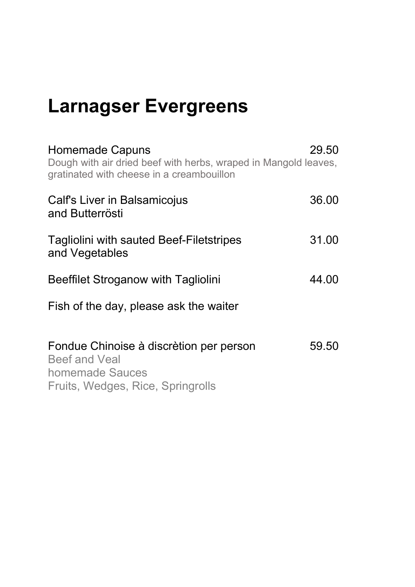# Larnagser Evergreens

| <b>Homemade Capuns</b><br>Dough with air dried beef with herbs, wraped in Mangold leaves,<br>gratinated with cheese in a creambouillon | 29.50 |
|----------------------------------------------------------------------------------------------------------------------------------------|-------|
| Calf's Liver in Balsamicojus<br>and Butterrösti                                                                                        | 36.00 |
| <b>Tagliolini with sauted Beef-Filetstripes</b><br>and Vegetables                                                                      | 31.00 |
| Beeffilet Stroganow with Tagliolini                                                                                                    | 44.00 |
| Fish of the day, please ask the waiter                                                                                                 |       |
| Fondue Chinoise à discrètion per person<br><b>Beef and Veal</b><br>homemade Sauces<br>Fruits, Wedges, Rice, Springrolls                | 59.50 |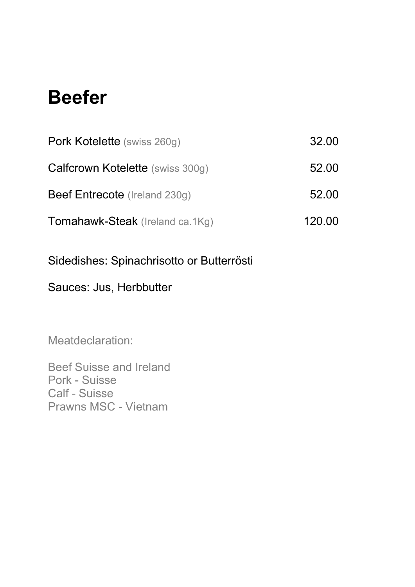### Beefer

| Pork Kotelette (swiss 260g)             | 32.00  |
|-----------------------------------------|--------|
| <b>Calfcrown Kotelette</b> (swiss 300g) | 52.00  |
| <b>Beef Entrecote</b> (Ireland 230g)    | 52.00  |
| Tomahawk-Steak (Ireland ca.1Kg)         | 120.00 |

Sidedishes: Spinachrisotto or Butterrösti

#### Sauces: Jus, Herbbutter

Meatdeclaration:

Beef Suisse and Ireland Pork - Suisse Calf - Suisse Prawns MSC - Vietnam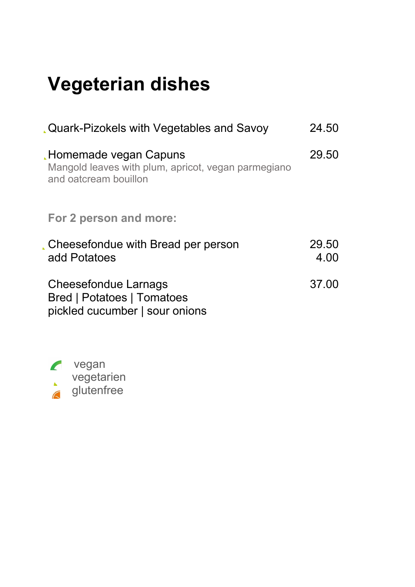# Vegeterian dishes

| Quark-Pizokels with Vegetables and Savoy                                                              | 24.50         |
|-------------------------------------------------------------------------------------------------------|---------------|
| Homemade vegan Capuns<br>Mangold leaves with plum, apricot, vegan parmegiano<br>and oatcream bouillon | 29.50         |
| For 2 person and more:                                                                                |               |
| Cheesefondue with Bread per person<br>add Potatoes                                                    | 29.50<br>4.00 |
| Cheesefondue Larnags<br><b>Bred   Potatoes   Tomatoes</b><br>pickled cucumber   sour onions           | 37.00         |

**z** vegan **vegetarien G** glutenfree